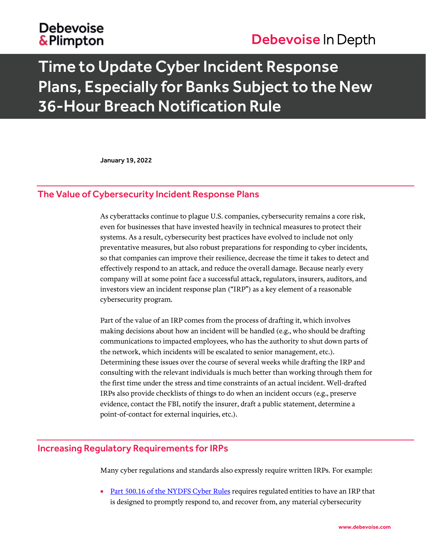### **Debevoise** & Plimpton

## Debevoise In Depth

# Time to Update Cyber Incident Response Plans, Especially for Banks Subject to the New 36-Hour Breach Notification Rule

January 19, 2022

#### The Value of Cybersecurity Incident Response Plans

As cyberattacks continue to plague U.S. companies, cybersecurity remains a core risk, even for businesses that have invested heavily in technical measures to protect their systems. As a result, cybersecurity best practices have evolved to include not only preventative measures, but also robust preparations for responding to cyber incidents, so that companies can improve their resilience, decrease the time it takes to detect and effectively respond to an attack, and reduce the overall damage. Because nearly every company will at some point face a successful attack, regulators, insurers, auditors, and investors view an incident response plan ("IRP") as a key element of a reasonable cybersecurity program.

Part of the value of an IRP comes from the process of drafting it, which involves making decisions about how an incident will be handled (e.g., who should be drafting communications to impacted employees, who has the authority to shut down parts of the network, which incidents will be escalated to senior management, etc.). Determining these issues over the course of several weeks while drafting the IRP and consulting with the relevant individuals is much better than working through them for the first time under the stress and time constraints of an actual incident. Well-drafted IRPs also provide checklists of things to do when an incident occurs (e.g., preserve evidence, contact the FBI, notify the insurer, draft a public statement, determine a point-of-contact for external inquiries, etc.).

#### Increasing Regulatory Requirements for IRPs

Many cyber regulations and standards also expressly require written IRPs. For example:

• [Part 500.16 of the NYDFS Cyber Rules](https://govt.westlaw.com/nycrr/Document/I60c644560d5f11e79781d30ba488e782?viewType=FullText&originationContext=documenttoc&transitionType=CategoryPageItem&contextData=(sc.Default)&bhcp=1) requires regulated entities to have an IRP that is designed to promptly respond to, and recover from, any material cybersecurity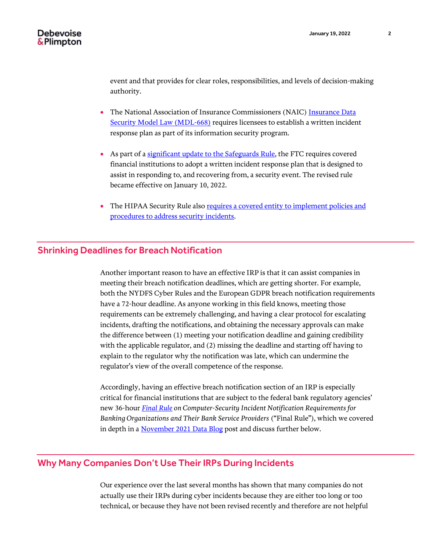event and that provides for clear roles, responsibilities, and levels of decision-making authority.

- The National Association of Insurance Commissioners (NAIC[\) Insurance Data](https://content.naic.org/sites/default/files/inline-files/MDL-668.pdf)  [Security Model Law \(MDL-668\)](https://content.naic.org/sites/default/files/inline-files/MDL-668.pdf) requires licensees to establish a written incident response plan as part of its information security program.
- As part of a [significant update to the Safeguards Rule,](https://www.debevoisedatablog.com/2021/11/18/the-ftcs-strengthened-safeguards-rule-and-the-evolving-landscape-of-reasonable-data-security/) the FTC requires covered financial institutions to adopt a written incident response plan that is designed to assist in responding to, and recovering from, a security event. The revised rule became effective on January 10, 2022.
- The HIPAA Security Rule also requires a covered entity to implement policies and [procedures to address security incidents.](https://www.hhs.gov/hipaa/for-professionals/faq/2002/what-does-the-security-rule-require-a-covered-entity-to-do-to-comply/index.html)

#### Shrinking Deadlines for Breach Notification

Another important reason to have an effective IRP is that it can assist companies in meeting their breach notification deadlines, which are getting shorter. For example, both the NYDFS Cyber Rules and the European GDPR breach notification requirements have a 72-hour deadline. As anyone working in this field knows, meeting those requirements can be extremely challenging, and having a clear protocol for escalating incidents, drafting the notifications, and obtaining the necessary approvals can make the difference between (1) meeting your notification deadline and gaining credibility with the applicable regulator, and (2) missing the deadline and starting off having to explain to the regulator why the notification was late, which can undermine the regulator's view of the overall competence of the response.

Accordingly, having an effective breach notification section of an IRP is especially critical for financial institutions that are subject to the federal bank regulatory agencies' new 36-hour *[Final Rule](https://occ.gov/news-issuances/news-releases/2021/nr-ia-2021-119.html) on Computer-Security Incident Notification Requirements for Banking Organizations and Their Bank Service Providers* ("Final Rule"), which we covered in depth in [a November 2021 Data Blog](https://www.debevoisedatablog.com/2021/11/23/banking-regulators-finalize-36-hour-data-breach-notification-rule/) post and discuss further below.

#### Why Many Companies Don't Use Their IRPs During Incidents

Our experience over the last several months has shown that many companies do not actually use their IRPs during cyber incidents because they are either too long or too technical, or because they have not been revised recently and therefore are not helpful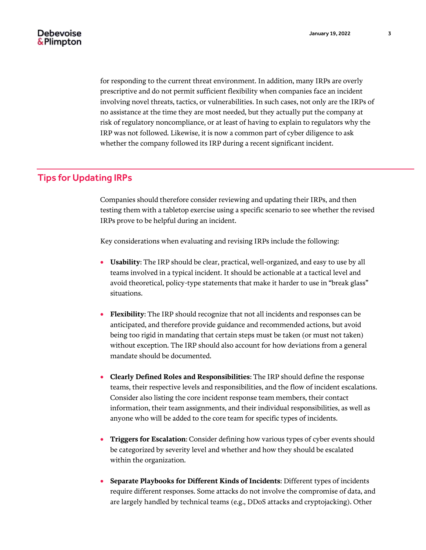for responding to the current threat environment. In addition, many IRPs are overly prescriptive and do not permit sufficient flexibility when companies face an incident involving novel threats, tactics, or vulnerabilities. In such cases, not only are the IRPs of no assistance at the time they are most needed, but they actually put the company at risk of regulatory noncompliance, or at least of having to explain to regulators why the IRP was not followed. Likewise, it is now a common part of cyber diligence to ask whether the company followed its IRP during a recent significant incident.

#### Tips for Updating IRPs

Companies should therefore consider reviewing and updating their IRPs, and then testing them with a tabletop exercise using a specific scenario to see whether the revised IRPs prove to be helpful during an incident.

Key considerations when evaluating and revising IRPs include the following:

- **Usability**: The IRP should be clear, practical, well-organized, and easy to use by all teams involved in a typical incident. It should be actionable at a tactical level and avoid theoretical, policy-type statements that make it harder to use in "break glass" situations.
- **Flexibility**: The IRP should recognize that not all incidents and responses can be anticipated, and therefore provide guidance and recommended actions, but avoid being too rigid in mandating that certain steps must be taken (or must not taken) without exception. The IRP should also account for how deviations from a general mandate should be documented.
- **Clearly Defined Roles and Responsibilities**: The IRP should define the response teams, their respective levels and responsibilities, and the flow of incident escalations. Consider also listing the core incident response team members, their contact information, their team assignments, and their individual responsibilities, as well as anyone who will be added to the core team for specific types of incidents.
- **Triggers for Escalation**: Consider defining how various types of cyber events should be categorized by severity level and whether and how they should be escalated within the organization.
- **Separate Playbooks for Different Kinds of Incidents**: Different types of incidents require different responses. Some attacks do not involve the compromise of data, and are largely handled by technical teams (e.g., DDoS attacks and cryptojacking). Other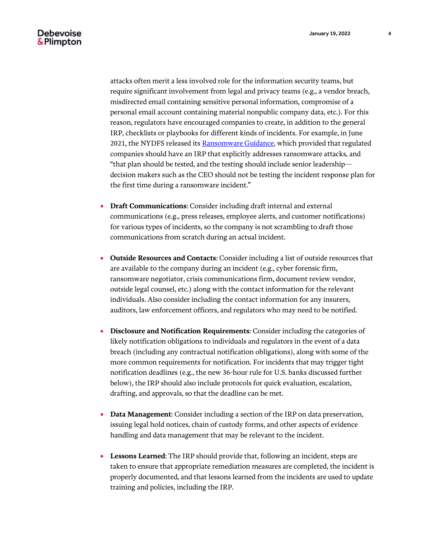#### Debevoise & Plimpton

attacks often merit a less involved role for the information security teams, but require significant involvement from legal and privacy teams (e.g., a vendor breach, misdirected email containing sensitive personal information, compromise of a personal email account containing material nonpublic company data, etc.). For this reason, regulators have encouraged companies to create, in addition to the general IRP, checklists or playbooks for different kinds of incidents. For example, in June 2021, the NYDFS released it[s Ransomware Guidance,](https://www.dfs.ny.gov/industry_guidance/industry_letters/il20210630_ransomware_guidance) which provided that regulated companies should have an IRP that explicitly addresses ransomware attacks, and "that plan should be tested, and the testing should include senior leadership decision makers such as the CEO should not be testing the incident response plan for the first time during a ransomware incident."

- **Draft Communications**: Consider including draft internal and external communications (e.g., press releases, employee alerts, and customer notifications) for various types of incidents, so the company is not scrambling to draft those communications from scratch during an actual incident.
- **Outside Resources and Contacts**: Consider including a list of outside resources that are available to the company during an incident (e.g., cyber forensic firm, ransomware negotiator, crisis communications firm, document review vendor, outside legal counsel, etc.) along with the contact information for the relevant individuals. Also consider including the contact information for any insurers, auditors, law enforcement officers, and regulators who may need to be notified.
- **Disclosure and Notification Requirements**: Consider including the categories of likely notification obligations to individuals and regulators in the event of a data breach (including any contractual notification obligations), along with some of the more common requirements for notification. For incidents that may trigger tight notification deadlines (e.g., the new 36-hour rule for U.S. banks discussed further below), the IRP should also include protocols for quick evaluation, escalation, drafting, and approvals, so that the deadline can be met.
- **Data Management**: Consider including a section of the IRP on data preservation, issuing legal hold notices, chain of custody forms, and other aspects of evidence handling and data management that may be relevant to the incident.
- **Lessons Learned**: The IRP should provide that, following an incident, steps are taken to ensure that appropriate remediation measures are completed, the incident is properly documented, and that lessons learned from the incidents are used to update training and policies, including the IRP.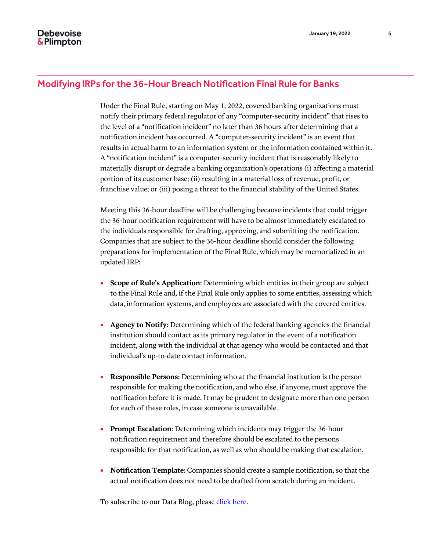#### Modifying IRPs for the 36-Hour Breach Notification Final Rule for Banks

Under the Final Rule, starting on May 1, 2022, covered banking organizations must notify their primary federal regulator of any "computer-security incident" that rises to the level of a "notification incident" no later than 36 hours after determining that a notification incident has occurred. A "computer-security incident" is an event that results in actual harm to an information system or the information contained within it. A "notification incident" is a computer-security incident that is reasonably likely to materially disrupt or degrade a banking organization's operations (i) affecting a material portion of its customer base; (ii) resulting in a material loss of revenue, profit, or franchise value; or (iii) posing a threat to the financial stability of the United States.

Meeting this 36-hour deadline will be challenging because incidents that could trigger the 36-hour notification requirement will have to be almost immediately escalated to the individuals responsible for drafting, approving, and submitting the notification. Companies that are subject to the 36-hour deadline should consider the following preparations for implementation of the Final Rule, which may be memorialized in an updated IRP:

- **Scope of Rule's Application**: Determining which entities in their group are subject to the Final Rule and, if the Final Rule only applies to some entities, assessing which data, information systems, and employees are associated with the covered entities.
- **Agency to Notify**: Determining which of the federal banking agencies the financial institution should contact as its primary regulator in the event of a notification incident, along with the individual at that agency who would be contacted and that individual's up-to-date contact information.
- **Responsible Persons**: Determining who at the financial institution is the person responsible for making the notification, and who else, if anyone, must approve the notification before it is made. It may be prudent to designate more than one person for each of these roles, in case someone is unavailable.
- **Prompt Escalation**: Determining which incidents may trigger the 36-hour notification requirement and therefore should be escalated to the persons responsible for that notification, as well as who should be making that escalation.
- **Notification Template**: Companies should create a sample notification, so that the actual notification does not need to be drafted from scratch during an incident.

To subscribe to our Data Blog, please [click here.](https://media.debevoise.com/5/7/landing-pages/data-blog-subscription-page.asp)